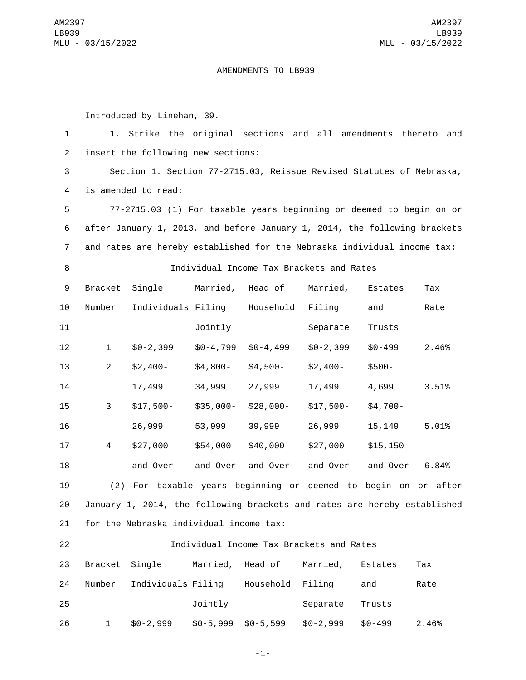## AMENDMENTS TO LB939

Introduced by Linehan, 39.

 1. Strike the original sections and all amendments thereto and 2 insert the following new sections: Section 1. Section 77-2715.03, Reissue Revised Statutes of Nebraska, 4 is amended to read: 77-2715.03 (1) For taxable years beginning or deemed to begin on or after January 1, 2013, and before January 1, 2014, the following brackets and rates are hereby established for the Nebraska individual income tax: Individual Income Tax Brackets and Rates 9 Bracket Single Married, Head of Married, Estates Tax 10 Number Individuals Filing Household Filing and Rate **11** Jointly Separate Trusts \$0-2,399 \$0-4,799 \$0-4,499 \$0-2,399 \$0-499 2.46% \$2,400- \$4,800- \$4,500- \$2,400- \$500- 17,499 34,999 27,999 17,499 4,699 3.51% \$17,500- \$35,000- \$28,000- \$17,500- \$4,700- 26,999 53,999 39,999 26,999 15,149 5.01% \$27,000 \$54,000 \$40,000 \$27,000 \$15,150 and Over and Over and Over and Over and Over 6.84% (2) For taxable years beginning or deemed to begin on or after January 1, 2014, the following brackets and rates are hereby established 21 for the Nebraska individual income tax: Individual Income Tax Brackets and Rates 23 Bracket Single Married, Head of Married, Estates Tax 24 Number Individuals Filing Household Filing and Rate Jointly Separate Trusts \$0-2,999 \$0-5,999 \$0-5,599 \$0-2,999 \$0-499 2.46%

-1-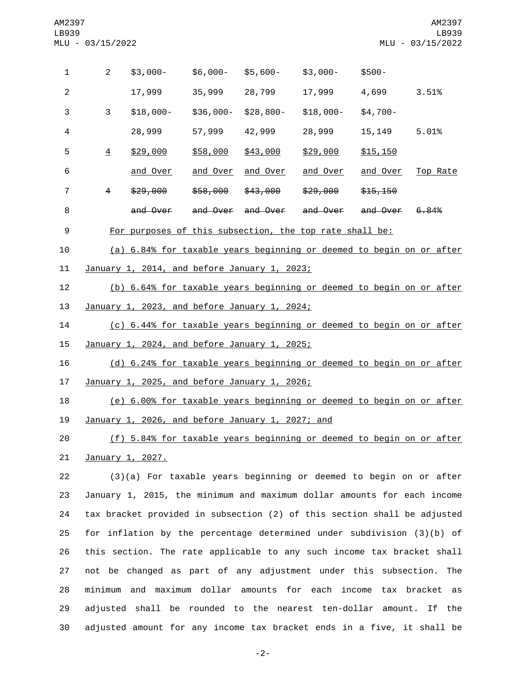| $\mathbf{1}$     | $\overline{2}$                                          | $$3,000-$                                                            | \$6,000-        | $$5,600-$                  | $$3,000-$  | $$500-$   |          |
|------------------|---------------------------------------------------------|----------------------------------------------------------------------|-----------------|----------------------------|------------|-----------|----------|
| 2                |                                                         | 17,999                                                               | 35,999          | 28,799                     | 17,999     | 4,699     | 3.51%    |
| 3                | 3                                                       | $$18,000-$                                                           | $$36,000-$      | $$28,800-$                 | $$18,000-$ | $$4,700-$ |          |
| 4                |                                                         | 28,999                                                               | 57,999          | 42,999                     | 28,999     | 15,149    | 5.01%    |
| 5                | $\overline{4}$                                          | \$29,000                                                             | \$58,000        | \$43,000                   | \$29,000   | \$15,150  |          |
| 6                |                                                         | and Over                                                             | <u>and Over</u> | and Over                   | and Over   | and Over  | Top Rate |
| $\overline{7}$   | $\overline{4}$                                          | \$29,000                                                             | \$58,000        | \$43,000                   | \$29,000   | \$15,150  |          |
| 8                |                                                         | and Over                                                             |                 | and Over and Over and Over |            | and Over  | 6.84%    |
| $\boldsymbol{9}$ | For purposes of this subsection, the top rate shall be: |                                                                      |                 |                            |            |           |          |
| 10               |                                                         | (a) 6.84% for taxable years beginning or deemed to begin on or after |                 |                            |            |           |          |
| 11               | January 1, 2014, and before January 1, 2023;            |                                                                      |                 |                            |            |           |          |
| 12               |                                                         | (b) 6.64% for taxable years beginning or deemed to begin on or after |                 |                            |            |           |          |
| 13               | January 1, 2023, and before January 1, 2024;            |                                                                      |                 |                            |            |           |          |
| 14               |                                                         | (c) 6.44% for taxable years beginning or deemed to begin on or after |                 |                            |            |           |          |
| 15               | January 1, 2024, and before January 1, 2025;            |                                                                      |                 |                            |            |           |          |
| 16               |                                                         | (d) 6.24% for taxable years beginning or deemed to begin on or after |                 |                            |            |           |          |
| 17               | January 1, 2025, and before January 1, 2026;            |                                                                      |                 |                            |            |           |          |
| 18               |                                                         | (e) 6.00% for taxable years beginning or deemed to begin on or after |                 |                            |            |           |          |

19 January 1, 2026, and before January 1, 2027; and

 (f) 5.84% for taxable years beginning or deemed to begin on or after 21 January 1, 2027.

 (3)(a) For taxable years beginning or deemed to begin on or after January 1, 2015, the minimum and maximum dollar amounts for each income tax bracket provided in subsection (2) of this section shall be adjusted for inflation by the percentage determined under subdivision (3)(b) of this section. The rate applicable to any such income tax bracket shall not be changed as part of any adjustment under this subsection. The minimum and maximum dollar amounts for each income tax bracket as adjusted shall be rounded to the nearest ten-dollar amount. If the adjusted amount for any income tax bracket ends in a five, it shall be

-2-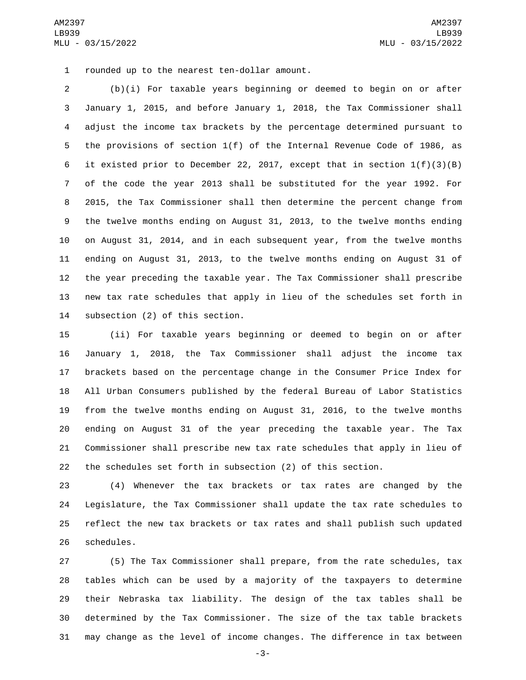1 rounded up to the nearest ten-dollar amount.

 (b)(i) For taxable years beginning or deemed to begin on or after January 1, 2015, and before January 1, 2018, the Tax Commissioner shall adjust the income tax brackets by the percentage determined pursuant to the provisions of section 1(f) of the Internal Revenue Code of 1986, as it existed prior to December 22, 2017, except that in section 1(f)(3)(B) of the code the year 2013 shall be substituted for the year 1992. For 2015, the Tax Commissioner shall then determine the percent change from the twelve months ending on August 31, 2013, to the twelve months ending on August 31, 2014, and in each subsequent year, from the twelve months ending on August 31, 2013, to the twelve months ending on August 31 of the year preceding the taxable year. The Tax Commissioner shall prescribe new tax rate schedules that apply in lieu of the schedules set forth in 14 subsection (2) of this section.

 (ii) For taxable years beginning or deemed to begin on or after January 1, 2018, the Tax Commissioner shall adjust the income tax brackets based on the percentage change in the Consumer Price Index for All Urban Consumers published by the federal Bureau of Labor Statistics from the twelve months ending on August 31, 2016, to the twelve months ending on August 31 of the year preceding the taxable year. The Tax Commissioner shall prescribe new tax rate schedules that apply in lieu of the schedules set forth in subsection (2) of this section.

 (4) Whenever the tax brackets or tax rates are changed by the Legislature, the Tax Commissioner shall update the tax rate schedules to reflect the new tax brackets or tax rates and shall publish such updated 26 schedules.

 (5) The Tax Commissioner shall prepare, from the rate schedules, tax tables which can be used by a majority of the taxpayers to determine their Nebraska tax liability. The design of the tax tables shall be determined by the Tax Commissioner. The size of the tax table brackets may change as the level of income changes. The difference in tax between

-3-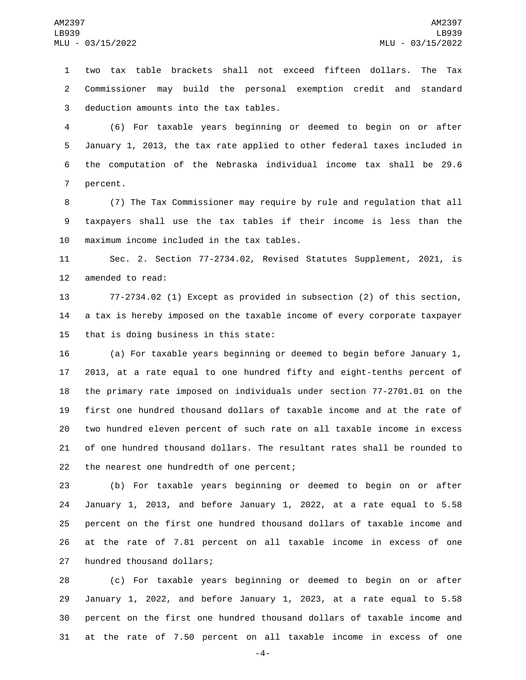two tax table brackets shall not exceed fifteen dollars. The Tax Commissioner may build the personal exemption credit and standard 3 deduction amounts into the tax tables.

 (6) For taxable years beginning or deemed to begin on or after January 1, 2013, the tax rate applied to other federal taxes included in the computation of the Nebraska individual income tax shall be 29.6 7 percent.

 (7) The Tax Commissioner may require by rule and regulation that all taxpayers shall use the tax tables if their income is less than the 10 maximum income included in the tax tables.

 Sec. 2. Section 77-2734.02, Revised Statutes Supplement, 2021, is 12 amended to read:

 77-2734.02 (1) Except as provided in subsection (2) of this section, a tax is hereby imposed on the taxable income of every corporate taxpayer 15 that is doing business in this state:

 (a) For taxable years beginning or deemed to begin before January 1, 2013, at a rate equal to one hundred fifty and eight-tenths percent of the primary rate imposed on individuals under section 77-2701.01 on the first one hundred thousand dollars of taxable income and at the rate of two hundred eleven percent of such rate on all taxable income in excess of one hundred thousand dollars. The resultant rates shall be rounded to 22 the nearest one hundredth of one percent;

 (b) For taxable years beginning or deemed to begin on or after January 1, 2013, and before January 1, 2022, at a rate equal to 5.58 percent on the first one hundred thousand dollars of taxable income and at the rate of 7.81 percent on all taxable income in excess of one 27 hundred thousand dollars;

 (c) For taxable years beginning or deemed to begin on or after January 1, 2022, and before January 1, 2023, at a rate equal to 5.58 percent on the first one hundred thousand dollars of taxable income and at the rate of 7.50 percent on all taxable income in excess of one

-4-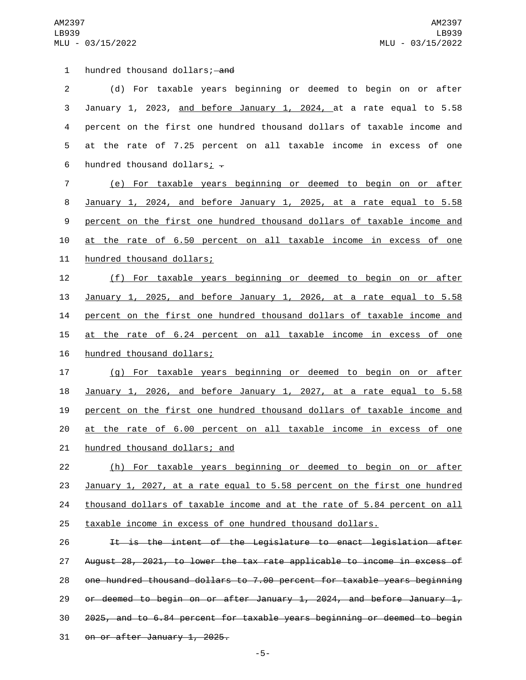1 hundred thousand dollars; and (d) For taxable years beginning or deemed to begin on or after January 1, 2023, and before January 1, 2024, at a rate equal to 5.58 percent on the first one hundred thousand dollars of taxable income and at the rate of 7.25 percent on all taxable income in excess of one 6 hundred thousand dollars;  $\overline{z}$  (e) For taxable years beginning or deemed to begin on or after January 1, 2024, and before January 1, 2025, at a rate equal to 5.58 percent on the first one hundred thousand dollars of taxable income and at the rate of 6.50 percent on all taxable income in excess of one 11 hundred thousand dollars; (f) For taxable years beginning or deemed to begin on or after January 1, 2025, and before January 1, 2026, at a rate equal to 5.58 percent on the first one hundred thousand dollars of taxable income and at the rate of 6.24 percent on all taxable income in excess of one 16 hundred thousand dollars; (g) For taxable years beginning or deemed to begin on or after January 1, 2026, and before January 1, 2027, at a rate equal to 5.58 percent on the first one hundred thousand dollars of taxable income and at the rate of 6.00 percent on all taxable income in excess of one 21 hundred thousand dollars; and (h) For taxable years beginning or deemed to begin on or after January 1, 2027, at a rate equal to 5.58 percent on the first one hundred 24 thousand dollars of taxable income and at the rate of 5.84 percent on all taxable income in excess of one hundred thousand dollars. It is the intent of the Legislature to enact legislation after August 28, 2021, to lower the tax rate applicable to income in excess of one hundred thousand dollars to 7.00 percent for taxable years beginning or deemed to begin on or after January 1, 2024, and before January 1, 2025, and to 6.84 percent for taxable years beginning or deemed to begin

-5-

31 on or after January 1, 2025.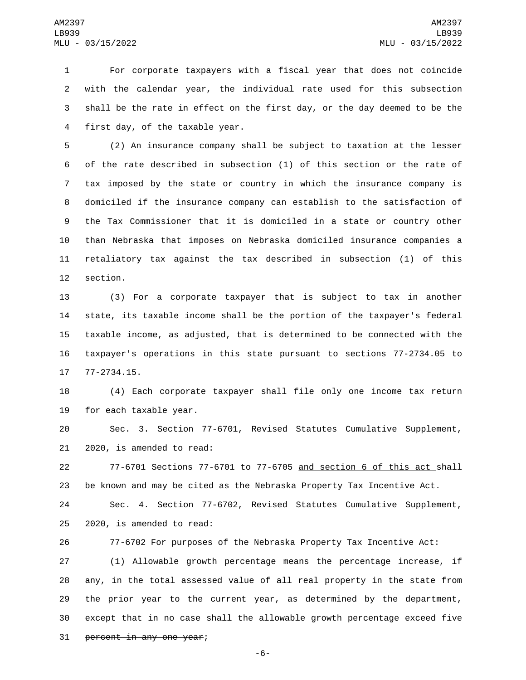For corporate taxpayers with a fiscal year that does not coincide with the calendar year, the individual rate used for this subsection shall be the rate in effect on the first day, or the day deemed to be the 4 first day, of the taxable year.

 (2) An insurance company shall be subject to taxation at the lesser of the rate described in subsection (1) of this section or the rate of tax imposed by the state or country in which the insurance company is domiciled if the insurance company can establish to the satisfaction of the Tax Commissioner that it is domiciled in a state or country other than Nebraska that imposes on Nebraska domiciled insurance companies a retaliatory tax against the tax described in subsection (1) of this 12 section.

 (3) For a corporate taxpayer that is subject to tax in another state, its taxable income shall be the portion of the taxpayer's federal taxable income, as adjusted, that is determined to be connected with the taxpayer's operations in this state pursuant to sections 77-2734.05 to 17 77-2734.15.

 (4) Each corporate taxpayer shall file only one income tax return 19 for each taxable year.

 Sec. 3. Section 77-6701, Revised Statutes Cumulative Supplement,  $2020$ , is amended to read:

 77-6701 Sections 77-6701 to 77-6705 and section 6 of this act shall be known and may be cited as the Nebraska Property Tax Incentive Act.

 Sec. 4. Section 77-6702, Revised Statutes Cumulative Supplement,  $2020$ , is amended to read:

77-6702 For purposes of the Nebraska Property Tax Incentive Act:

 (1) Allowable growth percentage means the percentage increase, if any, in the total assessed value of all real property in the state from 29 the prior year to the current year, as determined by the department<sub>7</sub> except that in no case shall the allowable growth percentage exceed five 31 percent in any one year;

-6-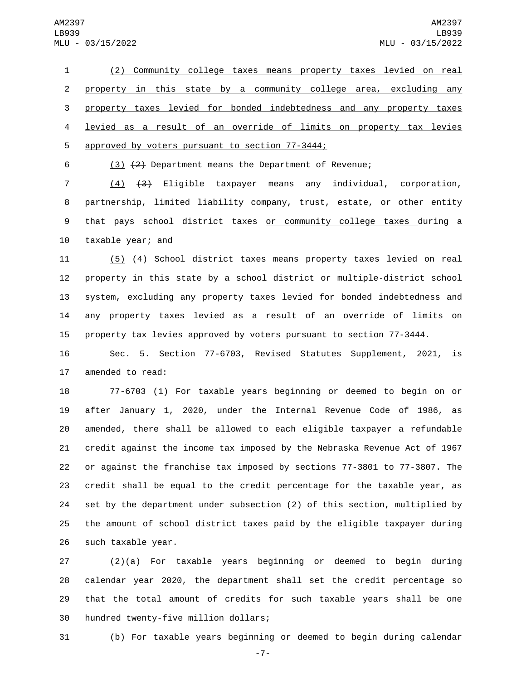(2) Community college taxes means property taxes levied on real property in this state by a community college area, excluding any property taxes levied for bonded indebtedness and any property taxes levied as a result of an override of limits on property tax levies 5 approved by voters pursuant to section 77-3444;

(3) (2) Department means the Department of Revenue;

 (4) (3) Eligible taxpayer means any individual, corporation, partnership, limited liability company, trust, estate, or other entity 9 that pays school district taxes or community college taxes during a 10 taxable year; and

 (5) (4) School district taxes means property taxes levied on real property in this state by a school district or multiple-district school system, excluding any property taxes levied for bonded indebtedness and any property taxes levied as a result of an override of limits on property tax levies approved by voters pursuant to section 77-3444.

 Sec. 5. Section 77-6703, Revised Statutes Supplement, 2021, is 17 amended to read:

 77-6703 (1) For taxable years beginning or deemed to begin on or after January 1, 2020, under the Internal Revenue Code of 1986, as amended, there shall be allowed to each eligible taxpayer a refundable credit against the income tax imposed by the Nebraska Revenue Act of 1967 or against the franchise tax imposed by sections 77-3801 to 77-3807. The credit shall be equal to the credit percentage for the taxable year, as set by the department under subsection (2) of this section, multiplied by the amount of school district taxes paid by the eligible taxpayer during 26 such taxable year.

 (2)(a) For taxable years beginning or deemed to begin during calendar year 2020, the department shall set the credit percentage so that the total amount of credits for such taxable years shall be one 30 hundred twenty-five million dollars;

(b) For taxable years beginning or deemed to begin during calendar

-7-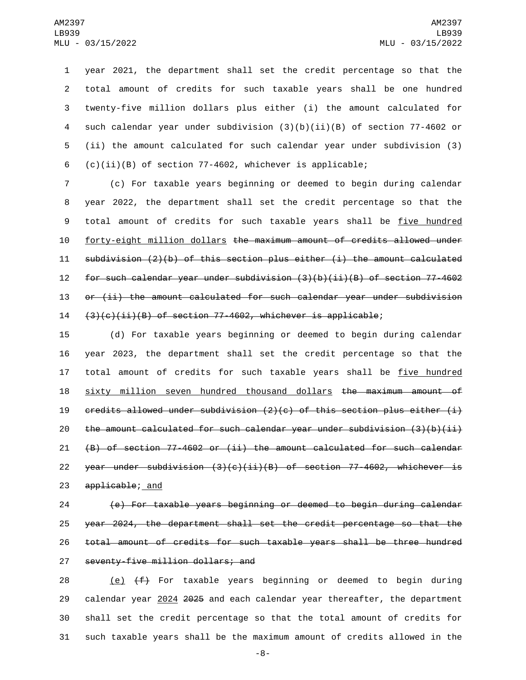year 2021, the department shall set the credit percentage so that the total amount of credits for such taxable years shall be one hundred twenty-five million dollars plus either (i) the amount calculated for such calendar year under subdivision (3)(b)(ii)(B) of section 77-4602 or (ii) the amount calculated for such calendar year under subdivision (3) (c)(ii)(B) of section 77-4602, whichever is applicable;

 (c) For taxable years beginning or deemed to begin during calendar year 2022, the department shall set the credit percentage so that the 9 total amount of credits for such taxable years shall be five hundred forty-eight million dollars the maximum amount of credits allowed under subdivision (2)(b) of this section plus either (i) the amount calculated for such calendar year under subdivision (3)(b)(ii)(B) of section 77-4602 or (ii) the amount calculated for such calendar year under subdivision  $(3)(c)(ii)(B)$  of section 77-4602, whichever is applicable;

15 (d) For taxable years beginning or deemed to begin during calendar 16 year 2023, the department shall set the credit percentage so that the 17 total amount of credits for such taxable years shall be five hundred 18 sixty million seven hundred thousand dollars the maximum amount of 19  $c$  redits allowed under subdivision (2)(c) of this section plus either (i) 20 the amount calculated for such calendar year under subdivision  $(3)(b)(ii)$ 21 (B) of section 77-4602 or (ii) the amount calculated for such calendar 22 year under subdivision  $(3)(c)(ii)(B)$  of section 77-4602, whichever is 23 applicable; and

 (e) For taxable years beginning or deemed to begin during calendar year 2024, the department shall set the credit percentage so that the total amount of credits for such taxable years shall be three hundred 27 seventy-five million dollars; and

 $(e)$   $(f)$  For taxable years beginning or deemed to begin during 29 calendar year 2024 2025 and each calendar year thereafter, the department shall set the credit percentage so that the total amount of credits for such taxable years shall be the maximum amount of credits allowed in the

-8-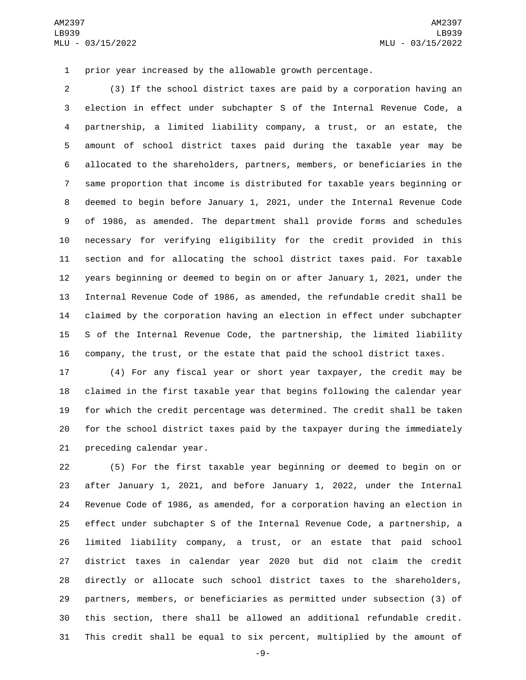prior year increased by the allowable growth percentage.

 (3) If the school district taxes are paid by a corporation having an election in effect under subchapter S of the Internal Revenue Code, a partnership, a limited liability company, a trust, or an estate, the amount of school district taxes paid during the taxable year may be allocated to the shareholders, partners, members, or beneficiaries in the same proportion that income is distributed for taxable years beginning or deemed to begin before January 1, 2021, under the Internal Revenue Code of 1986, as amended. The department shall provide forms and schedules necessary for verifying eligibility for the credit provided in this section and for allocating the school district taxes paid. For taxable years beginning or deemed to begin on or after January 1, 2021, under the Internal Revenue Code of 1986, as amended, the refundable credit shall be claimed by the corporation having an election in effect under subchapter S of the Internal Revenue Code, the partnership, the limited liability company, the trust, or the estate that paid the school district taxes.

 (4) For any fiscal year or short year taxpayer, the credit may be claimed in the first taxable year that begins following the calendar year for which the credit percentage was determined. The credit shall be taken for the school district taxes paid by the taxpayer during the immediately 21 preceding calendar year.

 (5) For the first taxable year beginning or deemed to begin on or after January 1, 2021, and before January 1, 2022, under the Internal Revenue Code of 1986, as amended, for a corporation having an election in effect under subchapter S of the Internal Revenue Code, a partnership, a limited liability company, a trust, or an estate that paid school district taxes in calendar year 2020 but did not claim the credit directly or allocate such school district taxes to the shareholders, partners, members, or beneficiaries as permitted under subsection (3) of this section, there shall be allowed an additional refundable credit. This credit shall be equal to six percent, multiplied by the amount of

-9-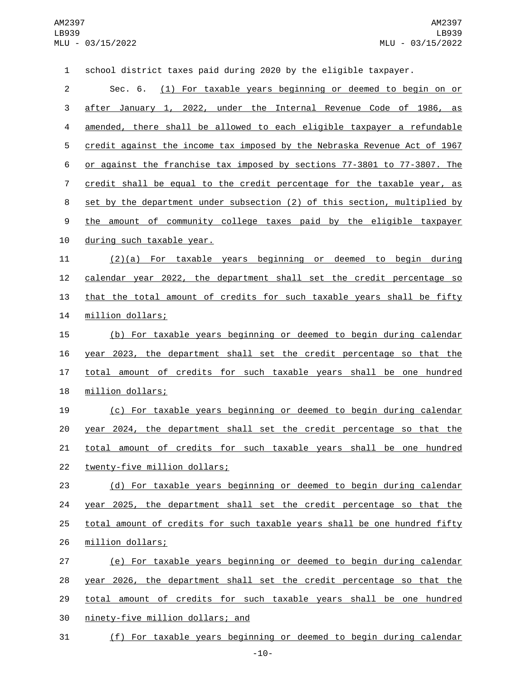school district taxes paid during 2020 by the eligible taxpayer. Sec. 6. (1) For taxable years beginning or deemed to begin on or after January 1, 2022, under the Internal Revenue Code of 1986, as amended, there shall be allowed to each eligible taxpayer a refundable credit against the income tax imposed by the Nebraska Revenue Act of 1967 or against the franchise tax imposed by sections 77-3801 to 77-3807. The credit shall be equal to the credit percentage for the taxable year, as set by the department under subsection (2) of this section, multiplied by the amount of community college taxes paid by the eligible taxpayer 10 during such taxable year. (2)(a) For taxable years beginning or deemed to begin during calendar year 2022, the department shall set the credit percentage so that the total amount of credits for such taxable years shall be fifty 14 million dollars; (b) For taxable years beginning or deemed to begin during calendar year 2023, the department shall set the credit percentage so that the 17 total amount of credits for such taxable years shall be one hundred 18 million dollars; (c) For taxable years beginning or deemed to begin during calendar year 2024, the department shall set the credit percentage so that the total amount of credits for such taxable years shall be one hundred 22 twenty-five million dollars; (d) For taxable years beginning or deemed to begin during calendar year 2025, the department shall set the credit percentage so that the total amount of credits for such taxable years shall be one hundred fifty 26 million dollars; (e) For taxable years beginning or deemed to begin during calendar year 2026, the department shall set the credit percentage so that the total amount of credits for such taxable years shall be one hundred 30 ninety-five million dollars; and (f) For taxable years beginning or deemed to begin during calendar

-10-